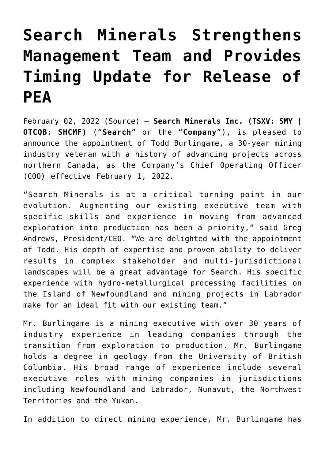# **[Search Minerals Strengthens](https://investorintel.com/markets/technology-metals/technology-metals-news/search-minerals-strengthens-management-team-and-provides-timing-update-for-release-of-pea/) [Management Team and Provides](https://investorintel.com/markets/technology-metals/technology-metals-news/search-minerals-strengthens-management-team-and-provides-timing-update-for-release-of-pea/) [Timing Update for Release of](https://investorintel.com/markets/technology-metals/technology-metals-news/search-minerals-strengthens-management-team-and-provides-timing-update-for-release-of-pea/) [PEA](https://investorintel.com/markets/technology-metals/technology-metals-news/search-minerals-strengthens-management-team-and-provides-timing-update-for-release-of-pea/)**

February 02, 2022 ([Source](https://www.globenewswire.com/news-release/2022/02/02/2377378/0/en/Search-Minerals-Strengthens-Management-Team-and-Provides-Timing-Update-for-Release-of-PEA.html)) — **Search Minerals Inc. (TSXV: SMY | OTCQB: SHCMF)** ("**Search**" or the "**Company**"), is pleased to announce the appointment of Todd Burlingame, a 30-year mining industry veteran with a history of advancing projects across northern Canada, as the Company's Chief Operating Officer (COO) effective February 1, 2022.

"Search Minerals is at a critical turning point in our evolution. Augmenting our existing executive team with specific skills and experience in moving from advanced exploration into production has been a priority," said Greg Andrews, President/CEO. "We are delighted with the appointment of Todd. His depth of expertise and proven ability to deliver results in complex stakeholder and multi-jurisdictional landscapes will be a great advantage for Search. His specific experience with hydro-metallurgical processing facilities on the Island of Newfoundland and mining projects in Labrador make for an ideal fit with our existing team."

Mr. Burlingame is a mining executive with over 30 years of industry experience in leading companies through the transition from exploration to production. Mr. Burlingame holds a degree in geology from the University of British Columbia. His broad range of experience include several executive roles with mining companies in jurisdictions including Newfoundland and Labrador, Nunavut, the Northwest Territories and the Yukon.

In addition to direct mining experience, Mr. Burlingame has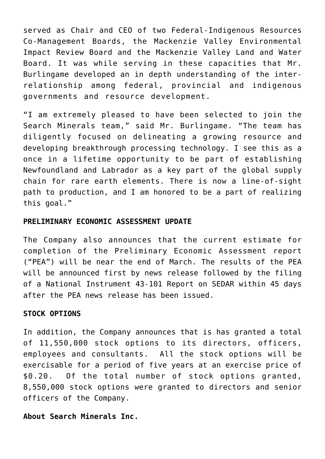served as Chair and CEO of two Federal-Indigenous Resources Co-Management Boards, the Mackenzie Valley Environmental Impact Review Board and the Mackenzie Valley Land and Water Board. It was while serving in these capacities that Mr. Burlingame developed an in depth understanding of the interrelationship among federal, provincial and indigenous governments and resource development.

"I am extremely pleased to have been selected to join the Search Minerals team," said Mr. Burlingame. "The team has diligently focused on delineating a growing resource and developing breakthrough processing technology. I see this as a once in a lifetime opportunity to be part of establishing Newfoundland and Labrador as a key part of the global supply chain for rare earth elements. There is now a line-of-sight path to production, and I am honored to be a part of realizing this goal."

#### **PRELIMINARY ECONOMIC ASSESSMENT UPDATE**

The Company also announces that the current estimate for completion of the Preliminary Economic Assessment report ("PEA") will be near the end of March. The results of the PEA will be announced first by news release followed by the filing of a National Instrument 43-101 Report on SEDAR within 45 days after the PEA news release has been issued.

#### **STOCK OPTIONS**

In addition, the Company announces that is has granted a total of 11,550,000 stock options to its directors, officers, employees and consultants. All the stock options will be exercisable for a period of five years at an exercise price of \$0.20. Of the total number of stock options granted, 8,550,000 stock options were granted to directors and senior officers of the Company.

## **About Search Minerals Inc.**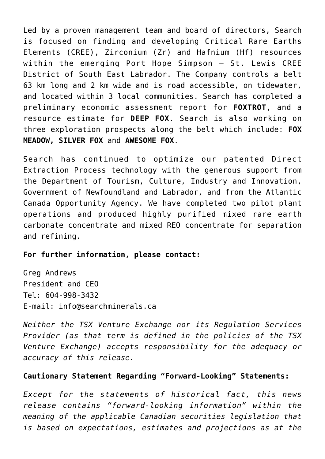Led by a proven management team and board of directors, Search is focused on finding and developing Critical Rare Earths Elements (CREE), Zirconium (Zr) and Hafnium (Hf) resources within the emerging Port Hope Simpson – St. Lewis CREE District of South East Labrador. The Company controls a belt 63 km long and 2 km wide and is road accessible, on tidewater, and located within 3 local communities. Search has completed a preliminary economic assessment report for **FOXTROT**, and a resource estimate for **DEEP FOX**. Search is also working on three exploration prospects along the belt which include: **FOX MEADOW, SILVER FOX** and **AWESOME FOX**.

Search has continued to optimize our patented Direct Extraction Process technology with the generous support from the Department of Tourism, Culture, Industry and Innovation, Government of Newfoundland and Labrador, and from the Atlantic Canada Opportunity Agency. We have completed two pilot plant operations and produced highly purified mixed rare earth carbonate concentrate and mixed REO concentrate for separation and refining.

## **For further information, please contact:**

Greg Andrews President and CEO Tel: 604-998-3432 E-mail: [info@searchminerals.ca](https://www.globenewswire.com/Tracker?data=_N91PZrbtgO962fqhMrMZMpL85gRGOeXEGJH60Ib6E9DFhyuiSwF1hLcObF9QkkPh069a7jX2v20nwel8LiNys9BcF6skq2dPSBxZzItmHY=)

*Neither the TSX Venture Exchange nor its Regulation Services Provider (as that term is defined in the policies of the TSX Venture Exchange) accepts responsibility for the adequacy or accuracy of this release.*

## **Cautionary Statement Regarding "Forward-Looking" Statements:**

*Except for the statements of historical fact, this news release contains "forward-looking information" within the meaning of the applicable Canadian securities legislation that is based on expectations, estimates and projections as at the*